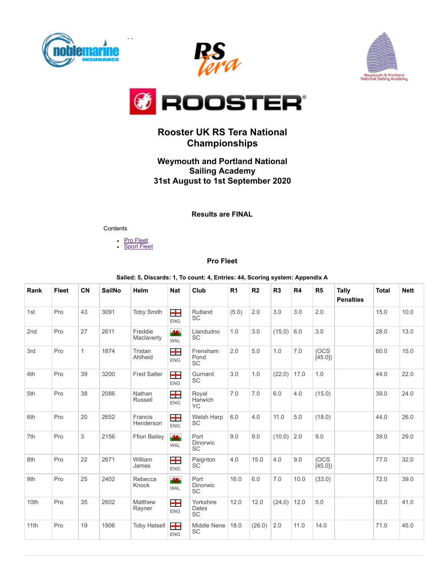







# **Rooster UK RS Tera National Championships**

### **Weymouth and Portland National Sailing Academy 31st August to 1st September 2020**

### **Results are FINAL**

#### **Contents**

- **Pro [Fleet](#page-0-0)**
- **[Sport](#page-2-0) Fleet**

#### **Pro Fleet**

**Sailed: 5, Discards: 1, To count: 4, Entries: 44, Scoring system: Appendix A**

<span id="page-0-0"></span>

| Rank | Fleet | CN           | <b>SailNo</b> | Helm                  | <b>Nat</b>              | Club                                 | R <sub>1</sub> | R <sub>2</sub> | R3     | R4   | R <sub>5</sub> | Tally<br><b>Penalties</b> | <b>Total</b> | <b>Nett</b> |
|------|-------|--------------|---------------|-----------------------|-------------------------|--------------------------------------|----------------|----------------|--------|------|----------------|---------------------------|--------------|-------------|
| 1st  | Pro   | 43           | 3091          | <b>Toby Smith</b>     | 8<br><b>ENG</b>         | Rutland<br><b>SC</b>                 | (5.0)          | 2.0            | 3.0    | 3.0  | 2.0            |                           | 15.0         | 10.0        |
| 2nd  | Pro   | 27           | 2611          | Freddie<br>Maclaverty | -944<br><b>WAL</b>      | Llandudno<br>SC                      | 1.0            | 3.0            | (15.0) | 6.0  | 3.0            |                           | 28.0         | 13.0        |
| 3rd  | Pro   | $\mathbf{1}$ | 1874          | Tristan<br>Ahlheid    | 8<br><b>ENG</b>         | Frensham<br>Pond<br><b>SC</b>        | 2.0            | 5.0            | 1.0    | 7.0  | (OCS<br>[45.0] |                           | 60.0         | 15.0        |
| 4th  | Pro   | 39           | 3200          | <b>Fred Salter</b>    | <b>TH</b><br><b>ENG</b> | Gurnard<br><b>SC</b>                 | 3.0            | 1.0            | (22.0) | 17.0 | 1.0            |                           | 44.0         | 22.0        |
| 5th  | Pro   | 38           | 2086          | Nathan<br>Russell     | 8<br><b>ENG</b>         | Royal<br>Harwich<br><b>YC</b>        | 7.0            | 7.0            | 6.0    | 4.0  | (15.0)         |                           | 39.0         | 24.0        |
| 6th  | Pro   | 20           | 2652          | Francis<br>Henderson  | 8<br><b>ENG</b>         | Welsh Harp<br><b>SC</b>              | 6.0            | 4.0            | 11.0   | 5.0  | (18.0)         |                           | 44.0         | 26.0        |
| 7th  | Pro   | 3            | 2156          | <b>Ffion Bailey</b>   | -944<br><b>WAL</b>      | Port<br><b>Dinorwic</b><br><b>SC</b> | 9.0            | 9.0            | (10.0) | 2.0  | 9.0            |                           | 39.0         | 29.0        |
| 8th  | Pro   | 22           | 2671          | William<br>James      | <b>TH</b><br><b>ENG</b> | Paignton<br><b>SC</b>                | 4.0            | 15.0           | 4.0    | 9.0  | (OCS<br>[45.0] |                           | 77.0         | 32.0        |
| 9th  | Pro   | 25           | 2402          | Rebecca<br>Knock      | 981<br><b>WAL</b>       | Port<br>Dinorwic<br><b>SC</b>        | 16.0           | 6.0            | 7.0    | 10.0 | (33.0)         |                           | 72.0         | 39.0        |
| 10th | Pro   | 35           | 2602          | Matthew<br>Rayner     | Ŧ<br><b>ENG</b>         | Yorkshire<br>Dales<br>SC             | 12.0           | 12.0           | (24.0) | 12.0 | 5.0            |                           | 65.0         | 41.0        |
| 11th | Pro   | 19           | 1906          | <b>Toby Hatsell</b>   | 8<br><b>ENG</b>         | Middle Nene<br><b>SC</b>             | 18.0           | (26.0)         | 2.0    | 11.0 | 14.0           |                           | 71.0         | 45.0        |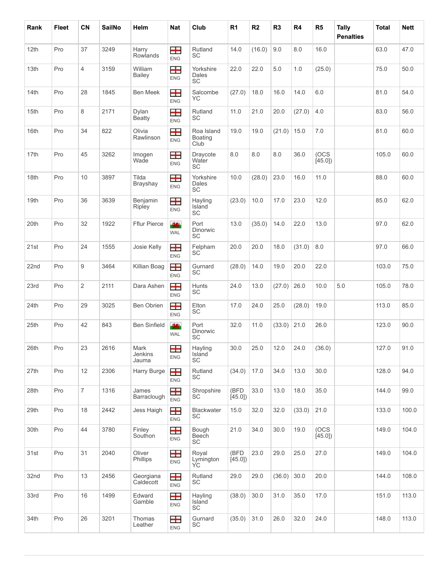| Rank | <b>Fleet</b> | CN             | <b>SailNo</b> | Helm                     | Nat                    | Club                                 | R <sub>1</sub> | R <sub>2</sub> | R <sub>3</sub> | R4     | R <sub>5</sub> | <b>Tally</b><br><b>Penalties</b> | <b>Total</b> | <b>Nett</b> |
|------|--------------|----------------|---------------|--------------------------|------------------------|--------------------------------------|----------------|----------------|----------------|--------|----------------|----------------------------------|--------------|-------------|
| 12th | Pro          | 37             | 3249          | Harry<br><b>Rowlands</b> | 8<br><b>ENG</b>        | Rutland<br>SC                        | 14.0           | (16.0)         | 9.0            | 8.0    | 16.0           |                                  | 63.0         | 47.0        |
| 13th | Pro          | $\overline{4}$ | 3159          | William<br><b>Bailey</b> | <b>T</b><br><b>ENG</b> | Yorkshire<br>Dales<br>SC             | 22.0           | 22.0           | 5.0            | 1.0    | (25.0)         |                                  | 75.0         | 50.0        |
| 14th | Pro          | 28             | 1845          | <b>Ben Meek</b>          | 8<br><b>ENG</b>        | Salcombe<br><b>YC</b>                | (27.0)         | 18.0           | 16.0           | 14.0   | 6.0            |                                  | 81.0         | 54.0        |
| 15th | Pro          | 8              | 2171          | Dylan<br><b>Beatty</b>   | 8<br><b>ENG</b>        | Rutland<br><b>SC</b>                 | 11.0           | 21.0           | 20.0           | (27.0) | 4.0            |                                  | 83.0         | 56.0        |
| 16th | Pro          | 34             | 822           | Olivia<br>Rawlinson      | 8<br><b>ENG</b>        | Roa Island<br><b>Boating</b><br>Club | 19.0           | 19.0           | (21.0)         | 15.0   | 7.0            |                                  | 81.0         | 60.0        |
| 17th | Pro          | 45             | 3262          | Imogen<br>Wade           | 8<br><b>ENG</b>        | Draycote<br>Water<br>SC              | 8.0            | 8.0            | 8.0            | 36.0   | (OCS<br>[45.0] |                                  | 105.0        | 60.0        |
| 18th | Pro          | 10             | 3897          | Tilda<br>Brayshay        | 8<br><b>ENG</b>        | Yorkshire<br>Dales<br>SC             | 10.0           | (28.0)         | 23.0           | 16.0   | 11.0           |                                  | 88.0         | 60.0        |
| 19th | Pro          | 36             | 3639          | Benjamin<br>Ripley       | 8<br><b>ENG</b>        | Hayling<br>Island<br>SC              | (23.0)         | 10.0           | 17.0           | 23.0   | 12.0           |                                  | 85.0         | 62.0        |
| 20th | Pro          | 32             | 1922          | <b>Fflur Pierce</b>      | -946<br><b>WAL</b>     | Port<br><b>Dinorwic</b><br><b>SC</b> | 13.0           | (35.0)         | 14.0           | 22.0   | 13.0           |                                  | 97.0         | 62.0        |
| 21st | Pro          | 24             | 1555          | Josie Kelly              | Ŧ<br><b>ENG</b>        | Felpham<br>SC <sup>'</sup>           | 20.0           | 20.0           | 18.0           | (31.0) | 8.0            |                                  | 97.0         | 66.0        |
| 22nd | Pro          | 9              | 3464          | Killian Boag             | 8<br><b>ENG</b>        | Gurnard<br><b>SC</b>                 | (28.0)         | 14.0           | 19.0           | 20.0   | 22.0           |                                  | 103.0        | 75.0        |
| 23rd | Pro          | 2              | 2111          | Dara Ashen               | 8<br><b>ENG</b>        | Hunts<br>SC                          | 24.0           | 13.0           | (27.0)         | 26.0   | 10.0           | 5.0                              | 105.0        | 78.0        |
| 24th | Pro          | 29             | 3025          | <b>Ben Obrien</b>        | <b>T</b><br><b>ENG</b> | Elton<br><b>SC</b>                   | 17.0           | 24.0           | 25.0           | (28.0) | 19.0           |                                  | 113.0        | 85.0        |
| 25th | Pro          | 42             | 843           | <b>Ben Sinfield</b>      | 44<br><b>WAL</b>       | Port<br>Dinorwic<br>SC               | 32.0           | 11.0           | (33.0)         | 21.0   | 26.0           |                                  | 123.0        | 90.0        |
| 26th | Pro          | 23             | 2616          | Mark<br>Jenkins<br>Jauma | 田<br><b>ENG</b>        | Hayling<br>Island<br><b>SC</b>       | 30.0           | 25.0           | 12.0           | 24.0   | (36.0)         |                                  | 127.0        | 91.0        |
| 27th | Pro          | 12             | 2306          | Harry Burge              | Ŧ<br><b>ENG</b>        | Rutland<br>SC                        | (34.0)         | 17.0           | 34.0           | 13.0   | 30.0           |                                  | 128.0        | 94.0        |
| 28th | Pro          | $\overline{7}$ | 1316          | James<br>Barraclough     | 8<br><b>ENG</b>        | Shropshire<br>SC                     | (BFD<br>[45.0] | 33.0           | 13.0           | 18.0   | 35.0           |                                  | 144.0        | 99.0        |
| 29th | Pro          | 18             | 2442          | Jess Haigh               | 8<br><b>ENG</b>        | <b>Blackwater</b><br>SC              | 15.0           | 32.0           | 32.0           | (33.0) | 21.0           |                                  | 133.0        | 100.0       |
| 30th | Pro          | 44             | 3780          | Finley<br>Southon        | 8<br><b>ENG</b>        | Bough<br>Beech<br>SC                 | 21.0           | 34.0           | 30.0           | 19.0   | (OCS<br>[45.0] |                                  | 149.0        | 104.0       |
| 31st | Pro          | 31             | 2040          | Oliver<br>Phillips       | 8<br><b>ENG</b>        | Royal<br>Lymington<br>YC.            | (BFD<br>[45.0] | 23.0           | 29.0           | 25.0   | 27.0           |                                  | 149.0        | 104.0       |
| 32nd | Pro          | 13             | 2456          | Georgiana<br>Caldecott   | Ŧ<br><b>ENG</b>        | Rutland<br>SC                        | 29.0           | 29.0           | (36.0)         | 30.0   | 20.0           |                                  | 144.0        | 108.0       |
| 33rd | Pro          | 16             | 1499          | Edward<br>Gamble         | 8<br><b>ENG</b>        | Hayling<br>Island<br>SC              | (38.0)         | 30.0           | 31.0           | 35.0   | 17.0           |                                  | 151.0        | 113.0       |
| 34th | Pro          | 26             | 3201          | Thomas<br>Leather        | 8<br><b>ENG</b>        | Gurnard<br>SC                        | (35.0)         | 31.0           | 26.0           | 32.0   | 24.0           |                                  | 148.0        | 113.0       |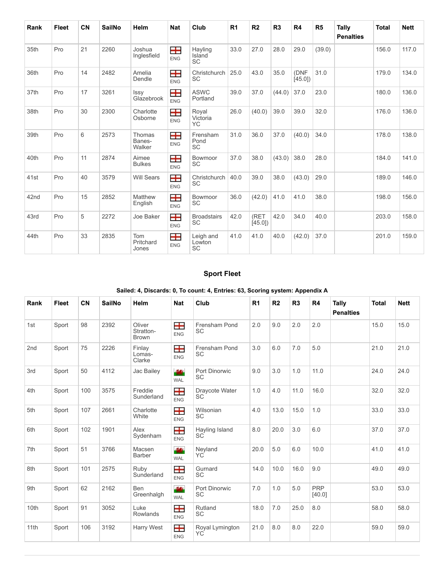| Rank | <b>Fleet</b> | <b>CN</b> | <b>SailNo</b> | Helm                       | <b>Nat</b>      | Club                             | R <sub>1</sub> | R <sub>2</sub> | R3     | R4             | R <sub>5</sub> | Tally<br><b>Penalties</b> | <b>Total</b> | <b>Nett</b> |
|------|--------------|-----------|---------------|----------------------------|-----------------|----------------------------------|----------------|----------------|--------|----------------|----------------|---------------------------|--------------|-------------|
| 35th | Pro          | 21        | 2260          | Joshua<br>Inglesfield      | 8<br><b>ENG</b> | Hayling<br>Island<br><b>SC</b>   | 33.0           | 27.0           | 28.0   | 29.0           | (39.0)         |                           | 156.0        | 117.0       |
| 36th | Pro          | 14        | 2482          | Amelia<br>Dendle           | ⊞<br><b>ENG</b> | Christchurch<br><b>SC</b>        | 25.0           | 43.0           | 35.0   | (DNF<br>[45.0] | 31.0           |                           | 179.0        | 134.0       |
| 37th | Pro          | 17        | 3261          | Issy<br>Glazebrook         | 8<br><b>ENG</b> | <b>ASWC</b><br>Portland          | 39.0           | 37.0           | (44.0) | 37.0           | 23.0           |                           | 180.0        | 136.0       |
| 38th | Pro          | 30        | 2300          | Charlotte<br>Osborne       | 8<br><b>ENG</b> | Royal<br>Victoria<br>YC          | 26.0           | (40.0)         | 39.0   | 39.0           | 32.0           |                           | 176.0        | 136.0       |
| 39th | Pro          | 6         | 2573          | Thomas<br>Banes-<br>Walker | 8<br><b>ENG</b> | Frensham<br>Pond<br><b>SC</b>    | 31.0           | 36.0           | 37.0   | (40.0)         | 34.0           |                           | 178.0        | 138.0       |
| 40th | Pro          | 11        | 2874          | Aimee<br><b>Bulkes</b>     | 8<br><b>ENG</b> | Bowmoor<br><b>SC</b>             | 37.0           | 38.0           | (43.0) | 38.0           | 28.0           |                           | 184.0        | 141.0       |
| 41st | Pro          | 40        | 3579          | <b>Will Sears</b>          | 8<br><b>ENG</b> | Christchurch<br><b>SC</b>        | 40.0           | 39.0           | 38.0   | (43.0)         | 29.0           |                           | 189.0        | 146.0       |
| 42nd | Pro          | 15        | 2852          | Matthew<br>English         | 8<br><b>ENG</b> | Bowmoor<br><b>SC</b>             | 36.0           | (42.0)         | 41.0   | 41.0           | 38.0           |                           | 198.0        | 156.0       |
| 43rd | Pro          | 5         | 2272          | Joe Baker                  | 8<br><b>ENG</b> | <b>Broadstairs</b><br><b>SC</b>  | 42.0           | (RET<br>[45.0] | 42.0   | 34.0           | 40.0           |                           | 203.0        | 158.0       |
| 44th | Pro          | 33        | 2835          | Tom<br>Pritchard<br>Jones  | 8<br><b>ENG</b> | Leigh and<br>Lowton<br><b>SC</b> | 41.0           | 41.0           | 40.0   | (42.0)         | 37.0           |                           | 201.0        | 159.0       |

### **Sport Fleet**

### **Sailed: 4, Discards: 0, To count: 4, Entries: 63, Scoring system: Appendix A**

<span id="page-2-0"></span>

| Rank | <b>Fleet</b> | <b>CN</b> | <b>SailNo</b> | <b>Helm</b>                         | <b>Nat</b>         | Club                         | R <sub>1</sub> | R <sub>2</sub> | R3   | R4                   | Tally<br><b>Penalties</b> | <b>Total</b> | <b>Nett</b> |
|------|--------------|-----------|---------------|-------------------------------------|--------------------|------------------------------|----------------|----------------|------|----------------------|---------------------------|--------------|-------------|
| 1st  | Sport        | 98        | 2392          | Oliver<br>Stratton-<br><b>Brown</b> | 8<br><b>ENG</b>    | Frensham Pond<br><b>SC</b>   | 2.0            | 9.0            | 2.0  | 2.0                  |                           | 15.0         | 15.0        |
| 2nd  | Sport        | 75        | 2226          | Finlay<br>Lomas-<br>Clarke          | 8<br><b>ENG</b>    | Frensham Pond<br><b>SC</b>   | 3.0            | 6.0            | 7.0  | 5.0                  |                           | 21.0         | 21.0        |
| 3rd  | Sport        | 50        | 4112          | Jac Bailey                          | 44<br><b>WAL</b>   | Port Dinorwic<br><b>SC</b>   | 9.0            | 3.0            | 1.0  | 11.0                 |                           | 24.0         | 24.0        |
| 4th  | Sport        | 100       | 3575          | Freddie<br>Sunderland               | 8<br><b>ENG</b>    | Draycote Water<br>SC         | 1.0            | 4.0            | 11.0 | 16.0                 |                           | 32.0         | 32.0        |
| 5th  | Sport        | 107       | 2661          | Charlotte<br>White                  | +<br><b>ENG</b>    | Wilsonian<br>SC.             | 4.0            | 13.0           | 15.0 | 1.0                  |                           | 33.0         | 33.0        |
| 6th  | Sport        | 102       | 1901          | Alex<br>Sydenham                    | 8<br><b>ENG</b>    | Hayling Island<br><b>SC</b>  | 8.0            | 20.0           | 3.0  | 6.0                  |                           | 37.0         | 37.0        |
| 7th  | Sport        | 51        | 3766          | Macsen<br><b>Barber</b>             | -984<br><b>WAL</b> | Neyland<br>YC                | 20.0           | 5.0            | 6.0  | 10.0                 |                           | 41.0         | 41.0        |
| 8th  | Sport        | 101       | 2575          | Ruby<br>Sunderland                  | ⊞<br><b>ENG</b>    | Gurnard<br><b>SC</b>         | 14.0           | 10.0           | 16.0 | 9.0                  |                           | 49.0         | 49.0        |
| 9th  | Sport        | 62        | 2162          | <b>Ben</b><br>Greenhalgh            | -944<br><b>WAL</b> | Port Dinorwic<br><b>SC</b>   | 7.0            | 1.0            | 5.0  | <b>PRP</b><br>[40.0] |                           | 53.0         | 53.0        |
| 10th | Sport        | 91        | 3052          | Luke<br>Rowlands                    | 8<br><b>ENG</b>    | Rutland<br><b>SC</b>         | 18.0           | 7.0            | 25.0 | 8.0                  |                           | 58.0         | 58.0        |
| 11th | Sport        | 106       | 3192          | Harry West                          | 8<br><b>ENG</b>    | Royal Lymington<br><b>YC</b> | 21.0           | 8.0            | 8.0  | 22.0                 |                           | 59.0         | 59.0        |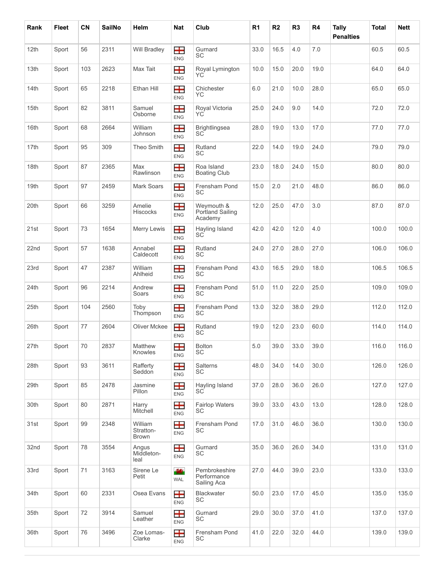| Rank             | <b>Fleet</b> | CN  | <b>SailNo</b> | Helm                                 | <b>Nat</b>              | Club                                        | R <sub>1</sub> | R <sub>2</sub> | R <sub>3</sub> | R4   | Tally<br><b>Penalties</b> | <b>Total</b> | <b>Nett</b> |
|------------------|--------------|-----|---------------|--------------------------------------|-------------------------|---------------------------------------------|----------------|----------------|----------------|------|---------------------------|--------------|-------------|
| 12th             | Sport        | 56  | 2311          | <b>Will Bradley</b>                  | ╈<br><b>ENG</b>         | Gurnard<br><b>SC</b>                        | 33.0           | 16.5           | 4.0            | 7.0  |                           | 60.5         | 60.5        |
| 13th             | Sport        | 103 | 2623          | Max Tait                             | ╈<br><b>ENG</b>         | Royal Lymington<br>YС                       | 10.0           | 15.0           | 20.0           | 19.0 |                           | 64.0         | 64.0        |
| 14th             | Sport        | 65  | 2218          | Ethan Hill                           | <b>TH</b><br><b>ENG</b> | Chichester<br>YC.                           | 6.0            | 21.0           | 10.0           | 28.0 |                           | 65.0         | 65.0        |
| 15th             | Sport        | 82  | 3811          | Samuel<br>Osborne                    | ╈<br><b>ENG</b>         | Royal Victoria<br>YС                        | 25.0           | 24.0           | 9.0            | 14.0 |                           | 72.0         | 72.0        |
| 16th             | Sport        | 68  | 2664          | William<br>Johnson                   | <b>TH</b><br><b>ENG</b> | <b>Brightlingsea</b><br>SC <sup>-</sup>     | 28.0           | 19.0           | 13.0           | 17.0 |                           | 77.0         | 77.0        |
| 17th             | Sport        | 95  | 309           | Theo Smith                           | <b>TH</b><br><b>ENG</b> | Rutland<br>SC                               | 22.0           | 14.0           | 19.0           | 24.0 |                           | 79.0         | 79.0        |
| 18th             | Sport        | 87  | 2365          | Max<br>Rawlinson                     | <b>H</b><br><b>ENG</b>  | Roa Island<br><b>Boating Club</b>           | 23.0           | 18.0           | 24.0           | 15.0 |                           | 80.0         | 80.0        |
| 19th             | Sport        | 97  | 2459          | Mark Soars                           | ╈<br><b>ENG</b>         | Frensham Pond<br>SC                         | 15.0           | 2.0            | 21.0           | 48.0 |                           | 86.0         | 86.0        |
| 20th             | Sport        | 66  | 3259          | Amelie<br><b>Hiscocks</b>            | <b>TH</b><br><b>ENG</b> | Weymouth &<br>Portland Sailing<br>Academy   | 12.0           | 25.0           | 47.0           | 3.0  |                           | 87.0         | 87.0        |
| 21st             | Sport        | 73  | 1654          | Merry Lewis                          | ╈<br><b>ENG</b>         | Hayling Island<br><b>SC</b>                 | 42.0           | 42.0           | 12.0           | 4.0  |                           | 100.0        | 100.0       |
| 22 <sub>nd</sub> | Sport        | 57  | 1638          | Annabel<br>Caldecott                 | 8<br><b>ENG</b>         | Rutland<br>SC                               | 24.0           | 27.0           | 28.0           | 27.0 |                           | 106.0        | 106.0       |
| 23rd             | Sport        | 47  | 2387          | William<br>Ahlheid                   | ╈<br>ENG                | Frensham Pond<br><b>SC</b>                  | 43.0           | 16.5           | 29.0           | 18.0 |                           | 106.5        | 106.5       |
| 24th             | Sport        | 96  | 2214          | Andrew<br>Soars                      | ᆂ<br><b>ENG</b>         | Frensham Pond<br>SC                         | 51.0           | 11.0           | 22.0           | 25.0 |                           | 109.0        | 109.0       |
| 25th             | Sport        | 104 | 2560          | Toby<br>Thompson                     | <b>H</b><br><b>ENG</b>  | Frensham Pond<br>SC                         | 13.0           | 32.0           | 38.0           | 29.0 |                           | 112.0        | 112.0       |
| 26th             | Sport        | 77  | 2604          | <b>Oliver Mckee</b>                  | 8<br><b>ENG</b>         | Rutland<br>SC                               | 19.0           | 12.0           | 23.0           | 60.0 |                           | 114.0        | 114.0       |
| 27th             | Sport        | 70  | 2837          | Matthew<br>Knowles                   | 8<br>ENG                | Bolton<br>SC                                | 5.0            | 39.0           | 33.0           | 39.0 |                           | 116.0        | 116.0       |
| 28th             | Sport        | 93  | 3611          | Rafferty<br>Seddon                   | <b>H</b><br><b>ENG</b>  | <b>Salterns</b><br>SC                       | 48.0           | 34.0           | 14.0           | 30.0 |                           | 126.0        | 126.0       |
| 29th             | Sport        | 85  | 2478          | Jasmine<br>Pillon                    | 8<br>ENG                | Hayling Island<br>SC                        | 37.0           | 28.0           | 36.0           | 26.0 |                           | 127.0        | 127.0       |
| 30th             | Sport        | 80  | 2871          | Harry<br>Mitchell                    | <b>TH</b><br>ENG        | <b>Fairlop Waters</b><br>SC                 | 39.0           | 33.0           | 43.0           | 13.0 |                           | 128.0        | 128.0       |
| 31st             | Sport        | 99  | 2348          | William<br>Stratton-<br><b>Brown</b> | <b>TH</b><br><b>ENG</b> | Frensham Pond<br>SC                         | 17.0           | 31.0           | 46.0           | 36.0 |                           | 130.0        | 130.0       |
| 32nd             | Sport        | 78  | 3554          | Angus<br>Middleton-<br>leal          | —<br>ENG                | Gurnard<br>SC                               | 35.0           | 36.0           | 26.0           | 34.0 |                           | 131.0        | 131.0       |
| 33rd             | Sport        | 71  | 3163          | Sirene Le<br>Petit                   | 44<br>WAL               | Pembrokeshire<br>Performance<br>Sailing Aca | 27.0           | 44.0           | 39.0           | 23.0 |                           | 133.0        | 133.0       |
| 34th             | Sport        | 60  | 2331          | Osea Evans                           | <b>TH</b><br><b>ENG</b> | <b>Blackwater</b><br><b>SC</b>              | 50.0           | 23.0           | 17.0           | 45.0 |                           | 135.0        | 135.0       |
| 35th             | Sport        | 72  | 3914          | Samuel<br>Leather                    | <b>TH</b><br>ENG        | Gurnard<br>SC                               | 29.0           | 30.0           | 37.0           | 41.0 |                           | 137.0        | 137.0       |
| 36th             | Sport        | 76  | 3496          | Zoe Lomas-<br>Clarke                 | Ŧ<br><b>ENG</b>         | Frensham Pond<br>SC                         | 41.0           | 22.0           | 32.0           | 44.0 |                           | 139.0        | 139.0       |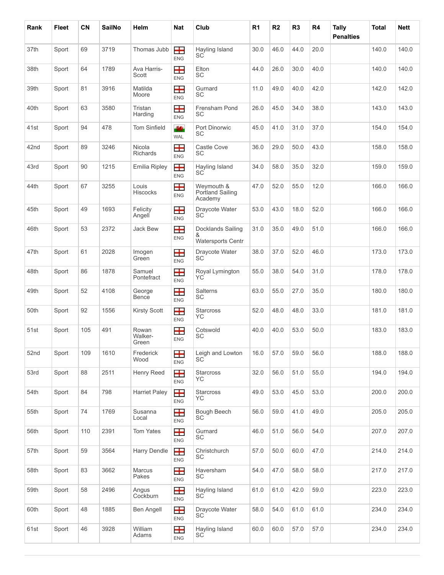| Rank | <b>Fleet</b> | CN  | <b>SailNo</b> | Helm                      | <b>Nat</b>              | Club                                               | R <sub>1</sub> | R <sub>2</sub> | R3   | R4   | <b>Tally</b><br><b>Penalties</b> | <b>Total</b> | <b>Nett</b> |
|------|--------------|-----|---------------|---------------------------|-------------------------|----------------------------------------------------|----------------|----------------|------|------|----------------------------------|--------------|-------------|
| 37th | Sport        | 69  | 3719          | Thomas Jubb               | <b>T</b><br><b>ENG</b>  | Hayling Island<br>SC                               | 30.0           | 46.0           | 44.0 | 20.0 |                                  | 140.0        | 140.0       |
| 38th | Sport        | 64  | 1789          | Ava Harris-<br>Scott      | ᆂ<br><b>ENG</b>         | Elton<br>SC                                        | 44.0           | 26.0           | 30.0 | 40.0 |                                  | 140.0        | 140.0       |
| 39th | Sport        | 81  | 3916          | Matilda<br>Moore          | 8<br><b>ENG</b>         | Gurnard<br>SC                                      | 11.0           | 49.0           | 40.0 | 42.0 |                                  | 142.0        | 142.0       |
| 40th | Sport        | 63  | 3580          | Tristan<br>Harding        | 8<br><b>ENG</b>         | Frensham Pond<br>SC                                | 26.0           | 45.0           | 34.0 | 38.0 |                                  | 143.0        | 143.0       |
| 41st | Sport        | 94  | 478           | <b>Tom Sinfield</b>       | 44<br><b>WAL</b>        | Port Dinorwic<br>SC                                | 45.0           | 41.0           | 31.0 | 37.0 |                                  | 154.0        | 154.0       |
| 42nd | Sport        | 89  | 3246          | Nicola<br><b>Richards</b> | 士<br><b>ENG</b>         | Castle Cove<br>SC                                  | 36.0           | 29.0           | 50.0 | 43.0 |                                  | 158.0        | 158.0       |
| 43rd | Sport        | 90  | 1215          | <b>Emilia Ripley</b>      | 99<br><b>ENG</b>        | Hayling Island<br>SC                               | 34.0           | 58.0           | 35.0 | 32.0 |                                  | 159.0        | 159.0       |
| 44th | Sport        | 67  | 3255          | Louis<br><b>Hiscocks</b>  | ╈<br>ENG                | Weymouth &<br>Portland Sailing<br>Academy          | 47.0           | 52.0           | 55.0 | 12.0 |                                  | 166.0        | 166.0       |
| 45th | Sport        | 49  | 1693          | Felicity<br>Angell        | ᆂ<br><b>ENG</b>         | Draycote Water<br>SC                               | 53.0           | 43.0           | 18.0 | 52.0 |                                  | 166.0        | 166.0       |
| 46th | Sport        | 53  | 2372          | Jack Bew                  | Ŧ<br>ENG                | Docklands Sailing<br>&<br><b>Watersports Centr</b> | 31.0           | 35.0           | 49.0 | 51.0 |                                  | 166.0        | 166.0       |
| 47th | Sport        | 61  | 2028          | Imogen<br>Green           | <b>TH</b><br><b>ENG</b> | Draycote Water<br>SC                               | 38.0           | 37.0           | 52.0 | 46.0 |                                  | 173.0        | 173.0       |
| 48th | Sport        | 86  | 1878          | Samuel<br>Pontefract      | 99<br><b>ENG</b>        | Royal Lymington<br>YС                              | 55.0           | 38.0           | 54.0 | 31.0 |                                  | 178.0        | 178.0       |
| 49th | Sport        | 52  | 4108          | George<br>Bence           | ╈<br><b>ENG</b>         | <b>Salterns</b><br>SC                              | 63.0           | 55.0           | 27.0 | 35.0 |                                  | 180.0        | 180.0       |
| 50th | Sport        | 92  | 1556          | <b>Kirsty Scott</b>       | <b>TH</b><br><b>ENG</b> | <b>Starcross</b><br>YC.                            | 52.0           | 48.0           | 48.0 | 33.0 |                                  | 181.0        | 181.0       |
| 51st | Sport        | 105 | 491           | Rowan<br>Walker-<br>Green | 士<br>ENG                | Cotswold<br>SC                                     | 40.0           | 40.0           | 53.0 | 50.0 |                                  | 183.0        | 183.0       |
| 52nd | Sport        | 109 | 1610          | Frederick<br>Wood         | <b>TH</b><br><b>ENG</b> | Leigh and Lowton<br>SC                             | 16.0           | 57.0           | 59.0 | 56.0 |                                  | 188.0        | 188.0       |
| 53rd | Sport        | 88  | 2511          | Henry Reed                | <b>T</b><br>ENG         | Starcross<br>YC.                                   | 32.0           | 56.0           | 51.0 | 55.0 |                                  | 194.0        | 194.0       |
| 54th | Sport        | 84  | 798           | <b>Harriet Paley</b>      | <b>T</b><br>ENG         | Starcross<br>YC.                                   | 49.0           | 53.0           | 45.0 | 53.0 |                                  | 200.0        | 200.0       |
| 55th | Sport        | 74  | 1769          | Susanna<br>Local          | 8<br>ENG                | Bough Beech<br>SC                                  | 56.0           | 59.0           | 41.0 | 49.0 |                                  | 205.0        | 205.0       |
| 56th | Sport        | 110 | 2391          | Tom Yates                 | 4<br>ENG                | Gurnard<br>SC                                      | 46.0           | 51.0           | 56.0 | 54.0 |                                  | 207.0        | 207.0       |
| 57th | Sport        | 59  | 3564          | Harry Dendle              | 士<br>ENG                | Christchurch<br>SC                                 | 57.0           | 50.0           | 60.0 | 47.0 |                                  | 214.0        | 214.0       |
| 58th | Sport        | 83  | 3662          | Marcus<br>Pakes           | 8<br>ENG                | Haversham<br>SC                                    | 54.0           | 47.0           | 58.0 | 58.0 |                                  | 217.0        | 217.0       |
| 59th | Sport        | 58  | 2496          | Angus<br>Cockburn         | 8<br><b>ENG</b>         | Hayling Island<br>SC                               | 61.0           | 61.0           | 42.0 | 59.0 |                                  | 223.0        | 223.0       |
| 60th | Sport        | 48  | 1885          | <b>Ben Angell</b>         | <b>TH</b><br>ENG        | Draycote Water<br>SC                               | 58.0           | 54.0           | 61.0 | 61.0 |                                  | 234.0        | 234.0       |
| 61st | Sport        | 46  | 3928          | William<br>Adams          | ENG                     | Hayling Island<br>SC                               | 60.0           | 60.0           | 57.0 | 57.0 |                                  | 234.0        | 234.0       |